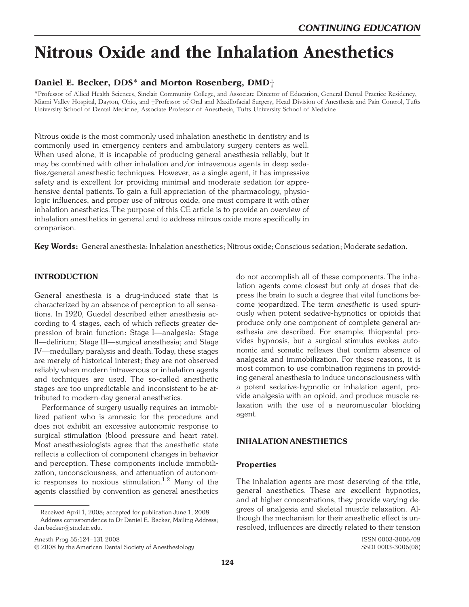# Nitrous Oxide and the Inhalation Anesthetics

# Daniel E. Becker, DDS\* and Morton Rosenberg, DMD<sup>+</sup>

\*Professor of Allied Health Sciences, Sinclair Community College, and Associate Director of Education, General Dental Practice Residency, Miami Valley Hospital, Dayton, Ohio, and !Professor of Oral and Maxillofacial Surgery, Head Division of Anesthesia and Pain Control, Tufts University School of Dental Medicine, Associate Professor of Anesthesia, Tufts University School of Medicine

Nitrous oxide is the most commonly used inhalation anesthetic in dentistry and is commonly used in emergency centers and ambulatory surgery centers as well. When used alone, it is incapable of producing general anesthesia reliably, but it may be combined with other inhalation and/or intravenous agents in deep sedative/general anesthestic techniques. However, as a single agent, it has impressive safety and is excellent for providing minimal and moderate sedation for apprehensive dental patients. To gain a full appreciation of the pharmacology, physiologic influences, and proper use of nitrous oxide, one must compare it with other inhalation anesthetics. The purpose of this CE article is to provide an overview of inhalation anesthetics in general and to address nitrous oxide more specifically in comparison.

Key Words: General anesthesia; Inhalation anesthetics; Nitrous oxide; Conscious sedation; Moderate sedation.

## INTRODUCTION

General anesthesia is a drug-induced state that is characterized by an absence of perception to all sensations. In 1920, Guedel described ether anesthesia according to 4 stages, each of which reflects greater depression of brain function: Stage I-analgesia; Stage II-delirium; Stage III-surgical anesthesia; and Stage IV—medullary paralysis and death. Today, these stages are merely of historical interest; they are not observed reliably when modern intravenous or inhalation agents and techniques are used. The so-called anesthetic stages are too unpredictable and inconsistent to be attributed to modern- day general anesthetics.

Performance of surgery usually requires an immobilized patient who is amnesic for the procedure and does not exhibit an excessive autonomic response to surgical stimulation (blood pressure and heart rate). Most anesthesiologists agree that the anesthetic state reflects a collection of component changes in behavior and perception. These components include immobilization, unconsciousness, and attenuation of autonomic responses to noxious stimulation.1,2 Many of the agents classified by convention as general anesthetics

Anesth Prog 55:124^131 2008

E 2008 by the American Dental Society of Anesthesiology

do not accomplish all of these components. The inhalation agents come closest but only at doses that depress the brain to such a degree that vital functions become jeopardized. The term anesthetic is used spuriously when potent sedative-hypnotics or opioids that produce only one component of complete general anesthesia are described. For example, thiopental provides hypnosis, but a surgical stimulus evokes autonomic and somatic reflexes that confirm absence of analgesia and immobilization. For these reasons, it is most common to use combination regimens in providing general anesthesia to induce unconsciousness with a potent sedative-hypnotic or inhalation agent, provide analgesia with an opioid, and produce muscle relaxation with the use of a neuromuscular blocking agent.

## INHALATION ANESTHETICS

#### **Properties**

The inhalation agents are most deserving of the title, general anesthetics. These are excellent hypnotics, and at higher concentrations, they provide varying degrees of analgesia and skeletal muscle relaxation. Although the mechanism for their anesthetic effect is unresolved, influences are directly related to their tension

> ISSN 0003-3006/08 SSDI 0003-3006(08)

Received April 1, 2008; accepted for publication June 1, 2008. Address correspondence to Dr Daniel E. Becker, Mailing Address; dan.becker@sinclair.edu.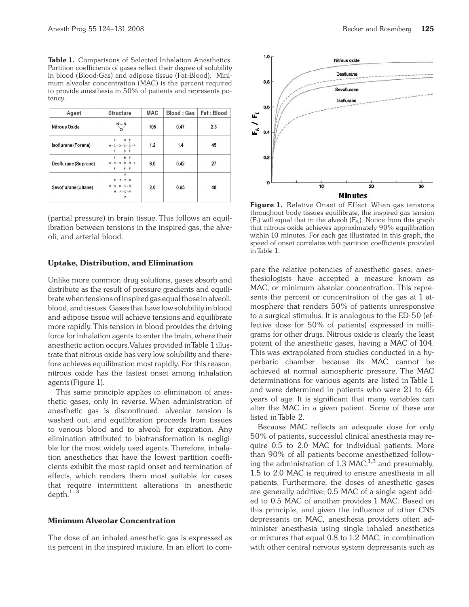Table 1. Comparisons of Selected Inhalation Anesthetics. Partition coefficients of gases reflect their degree of solubility in blood (Blood:Gas) and adipose tissue (Fat:Blood). Minimum alveolar concentration (MAC) is the percent required to provide anesthesia in 50% of patients and represents potency.

| Agent                | <b>Structure</b>                                                                                                                                                                                | <b>MAC</b> | Blood : Gas | Fat: Blood |
|----------------------|-------------------------------------------------------------------------------------------------------------------------------------------------------------------------------------------------|------------|-------------|------------|
| Nitrous Oxide        | $N = N$                                                                                                                                                                                         | 105        | 0.47        | 2.3        |
| Isoflurane (Forane)  | $\begin{array}{cccc}\n & F & H & F \\  & \ddots & \ddots & \ddots \\ H & -C & -O & -C & -C & -F\n\end{array}$<br>CI F                                                                           | 1.2        | 1.4         | 45         |
| Desflurane (Suprane) | $\begin{array}{cccccc} & & & & & & \text{H} & & \text{F} & & \\ & & & & & & \text{F} & & \\ \text{H} & & & & & \text{C} & & \text{C} & & \text{F} & \\ & & & & & \text{F} & & & \\ \end{array}$ | 6.0        | 0.42        | 27         |
| Sevoflurane (Ultane) | F<br>$F - C - F$<br>$H - C - O - C - H$<br>$H - F - C - F$<br>F                                                                                                                                 | 2.0        | 0.65        | 48         |

(partial pressure) in brain tissue. This follows an equilibration between tensions in the inspired gas, the alveoli, and arterial blood.

#### Uptake, Distribution, and Elimination

Unlike more common drug solutions, gases absorb and distribute as the result of pressure gradients and equilibrate when tensions of inspired gas equal those in alveoli, blood, and tissues. Gases that have low solubility in blood and adipose tissue will achieve tensions and equilibrate more rapidly. This tension in blood provides the driving force for inhalation agents to enter the brain, where their anesthetic action occurs.Values provided inTable 1 illustrate that nitrous oxide has very low solubility and therefore achieves equilibration most rapidly. For this reason, nitrous oxide has the fastest onset among inhalation agents (Figure 1).

This same principle applies to elimination of anesthetic gases, only in reverse. When administration of anesthetic gas is discontinued, alveolar tension is washed out, and equilibration proceeds from tissues to venous blood and to alveoli for expiration. Any elimination attributed to biotransformation is negligible for the most widely used agents. Therefore, inhalation anesthetics that have the lowest partition coefficients exhibit the most rapid onset and termination of effects, which renders them most suitable for cases that require intermittent alterations in anesthetic  $depth.<sup>1-3</sup>$ 

#### Minimum Alveolar Concentration

The dose of an inhaled anesthetic gas is expressed as its percent in the inspired mixture. In an effort to com-



Figure 1. Relative Onset of Effect. When gas tensions throughout body tissues equilibrate, the inspired gas tension  $(F<sub>I</sub>)$  will equal that in the alveoli  $(F<sub>A</sub>)$ . Notice from this graph that nitrous oxide achieves approximately 90% equilibration within 10 minutes. For each gas illustrated in this graph, the speed of onset correlates with partition coefficients provided in Table 1.

pare the relative potencies of anesthetic gases, anesthesiologists have accepted a measure known as MAC, or minimum alveolar concentration. This represents the percent or concentration of the gas at 1 atmosphere that renders 50% of patients unresponsive to a surgical stimulus. It is analogous to the ED-50 (effective dose for 50% of patients) expressed in milligrams for other drugs. Nitrous oxide is clearly the least potent of the anesthetic gases, having a MAC of 104. This was extrapolated from studies conducted in a hyperbaric chamber because its MAC cannot be achieved at normal atmospheric pressure. The MAC determinations for various agents are listed in Table 1 and were determined in patients who were 21 to 65 years of age. It is significant that many variables can alter the MAC in a given patient. Some of these are listed in Table 2.

Because MAC reflects an adequate dose for only 50% of patients, successful clinical anesthesia may require 0.5 to 2.0 MAC for individual patients. More than 90% of all patients become anesthetized following the administration of 1.3 MAC, $^{1,3}$  and presumably, 1.5 to 2.0 MAC is required to ensure anesthesia in all patients. Furthermore, the doses of anesthetic gases are generally additive; 0.5 MAC of a single agent added to 0.5 MAC of another provides 1 MAC. Based on this principle, and given the influence of other CNS depressants on MAC, anesthesia providers often administer anesthesia using single inhaled anesthetics or mixtures that equal 0.8 to 1.2 MAC, in combination with other central nervous system depressants such as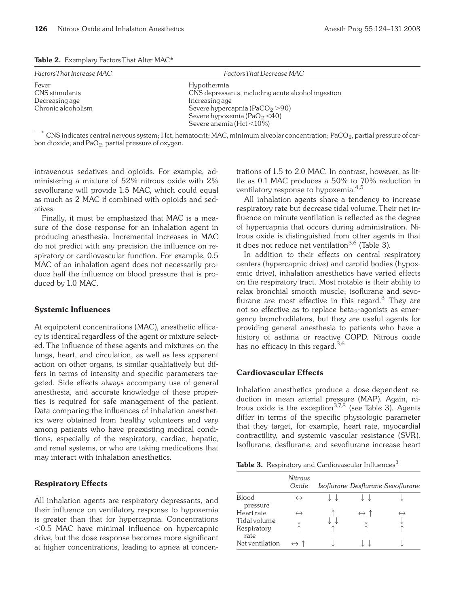| Factors That Increase MAC | Factors That Decrease MAC                          |  |
|---------------------------|----------------------------------------------------|--|
| Fever                     | Hypothermia                                        |  |
| CNS stimulants            | CNS depressants, including acute alcohol ingestion |  |
| Decreasing age            | Increasing age                                     |  |
| Chronic alcoholism        | Severe hypercapnia ( $PaCO2$ >90)                  |  |
|                           | Severe hypoxemia ( $PaO2 < 40$ )                   |  |
|                           | Severe anemia (Hct $\langle 10\% \rangle$          |  |

Table 2. Exemplary Factors That Alter MAC\*

CNS indicates central nervous system; Hct, hematocrit; MAC, minimum alveolar concentration; PaCO<sub>2</sub>, partial pressure of carbon dioxide; and  $PaO<sub>2</sub>$ , partial pressure of oxygen.

intravenous sedatives and opioids. For example, administering a mixture of 52% nitrous oxide with 2% sevoflurane will provide 1.5 MAC, which could equal as much as 2 MAC if combined with opioids and sedatives.

Finally, it must be emphasized that MAC is a measure of the dose response for an inhalation agent in producing anesthesia. Incremental increases in MAC do not predict with any precision the influence on respiratory or cardiovascular function. For example, 0.5 MAC of an inhalation agent does not necessarily produce half the influence on blood pressure that is produced by 1.0 MAC.

#### Systemic Influences

At equipotent concentrations (MAC), anesthetic efficacy is identical regardless of the agent or mixture selected. The influence of these agents and mixtures on the lungs, heart, and circulation, as well as less apparent action on other organs, is similar qualitatively but differs in terms of intensity and specific parameters targeted. Side effects always accompany use of general anesthesia, and accurate knowledge of these properties is required for safe management of the patient. Data comparing the influences of inhalation anesthetics were obtained from healthy volunteers and vary among patients who have preexisting medical conditions, especially of the respiratory, cardiac, hepatic, and renal systems, or who are taking medications that may interact with inhalation anesthetics.

#### Respiratory Effects

All inhalation agents are respiratory depressants, and their influence on ventilatory response to hypoxemia is greater than that for hypercapnia. Concentrations  $<$ 0.5 MAC have minimal influence on hypercapnic drive, but the dose response becomes more significant at higher concentrations, leading to apnea at concen-

trations of 1.5 to 2.0 MAC. In contrast, however, as little as 0.1 MAC produces a 50% to 70% reduction in ventilatory response to hypoxemia.4,5

All inhalation agents share a tendency to increase respiratory rate but decrease tidal volume. Their net influence on minute ventilation is reflected as the degree of hypercapnia that occurs during administration. Nitrous oxide is distinguished from other agents in that it does not reduce net ventilation<sup>3,6</sup> (Table 3).

In addition to their effects on central respiratory centers (hypercapnic drive) and carotid bodies (hypoxemic drive), inhalation anesthetics have varied effects on the respiratory tract. Most notable is their ability to relax bronchial smooth muscle; isoflurane and sevoflurane are most effective in this regard.<sup>3</sup> They are not so effective as to replace beta $2$ -agonists as emergency bronchodilators, but they are useful agents for providing general anesthesia to patients who have a history of asthma or reactive COPD. Nitrous oxide has no efficacy in this regard. $3,6$ 

## Cardiovascular Effects

Inhalation anesthetics produce a dose- dependent reduction in mean arterial pressure (MAP). Again, nitrous oxide is the exception<sup>3,7,8</sup> (see Table 3). Agents differ in terms of the specific physiologic parameter that they target, for example, heart rate, myocardial contractility, and systemic vascular resistance (SVR). Isoflurane, desflurane, and sevoflurane increase heart

Table 3. Respiratory and Cardiovascular Influences<sup>3</sup>

|                                           | Nitrous<br>Oxide  |                     | Isoflurane Desflurane Sevoflurane |
|-------------------------------------------|-------------------|---------------------|-----------------------------------|
| Blood<br>pressure                         | $\leftrightarrow$ |                     |                                   |
| Heart rate<br>Tidal volume<br>Respiratory | $\leftrightarrow$ | $\leftrightarrow$ 1 | $\leftrightarrow$                 |
| rate<br>Net ventilation                   |                   |                     |                                   |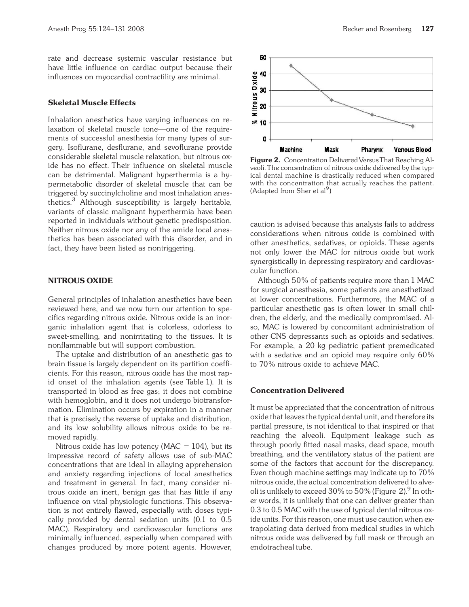rate and decrease systemic vascular resistance but have little influence on cardiac output because their influences on myocardial contractility are minimal.

#### Skeletal Muscle Effects

Inhalation anesthetics have varying influences on relaxation of skeletal muscle tone—one of the requirements of successful anesthesia for many types of surgery. Isoflurane, desflurane, and sevoflurane provide considerable skeletal muscle relaxation, but nitrous oxide has no effect. Their influence on skeletal muscle can be detrimental. Malignant hyperthermia is a hypermetabolic disorder of skeletal muscle that can be triggered by succinylcholine and most inhalation anesthetics.<sup>3</sup> Although susceptibility is largely heritable, variants of classic malignant hyperthermia have been reported in individuals without genetic predisposition. Neither nitrous oxide nor any of the amide local anesthetics has been associated with this disorder, and in fact, they have been listed as nontriggering.

#### NITROUS OXIDE

General principles of inhalation anesthetics have been reviewed here, and we now turn our attention to specifics regarding nitrous oxide. Nitrous oxide is an inorganic inhalation agent that is colorless, odorless to sweet-smelling, and nonirritating to the tissues. It is nonflammable but will support combustion.

The uptake and distribution of an anesthetic gas to brain tissue is largely dependent on its partition coefficients. For this reason, nitrous oxide has the most rapid onset of the inhalation agents (see Table 1). It is transported in blood as free gas; it does not combine with hemoglobin, and it does not undergo biotransformation. Elimination occurs by expiration in a manner that is precisely the reverse of uptake and distribution, and its low solubility allows nitrous oxide to be removed rapidly.

Nitrous oxide has low potency (MAC  $= 104$ ), but its impressive record of safety allows use of sub-MAC concentrations that are ideal in allaying apprehension and anxiety regarding injections of local anesthetics and treatment in general. In fact, many consider nitrous oxide an inert, benign gas that has little if any influence on vital physiologic functions. This observation is not entirely flawed, especially with doses typically provided by dental sedation units (0.1 to 0.5 MAC). Respiratory and cardiovascular functions are minimally influenced, especially when compared with changes produced by more potent agents. However,



Figure 2. Concentration Delivered Versus That Reaching Alveoli. The concentration of nitrous oxide delivered by the typical dental machine is drastically reduced when compared with the concentration that actually reaches the patient. (Adapted from Sher et al<sup>9</sup>)

caution is advised because this analysis fails to address considerations when nitrous oxide is combined with other anesthetics, sedatives, or opioids. These agents not only lower the MAC for nitrous oxide but work synergistically in depressing respiratory and cardiovascular function.

Although 50% of patients require more than 1 MAC for surgical anesthesia, some patients are anesthetized at lower concentrations. Furthermore, the MAC of a particular anesthetic gas is often lower in small children, the elderly, and the medically compromised. Also, MAC is lowered by concomitant administration of other CNS depressants such as opioids and sedatives. For example, a 20 kg pediatric patient premedicated with a sedative and an opioid may require only 60% to 70% nitrous oxide to achieve MAC.

#### Concentration Delivered

It must be appreciated that the concentration of nitrous oxide that leaves the typical dental unit, and therefore its partial pressure, is not identical to that inspired or that reaching the alveoli. Equipment leakage such as through poorly fitted nasal masks, dead space, mouth breathing, and the ventilatory status of the patient are some of the factors that account for the discrepancy. Even though machine settings may indicate up to 70% nitrous oxide, the actual concentration delivered to alveoli is unlikely to exceed  $30\%$  to  $50\%$  (Figure 2).<sup>9</sup> In other words, it is unlikely that one can deliver greater than 0.3 to 0.5 MAC with the use of typical dental nitrous oxide units. For this reason, one must use caution when extrapolating data derived from medical studies in which nitrous oxide was delivered by full mask or through an endotracheal tube.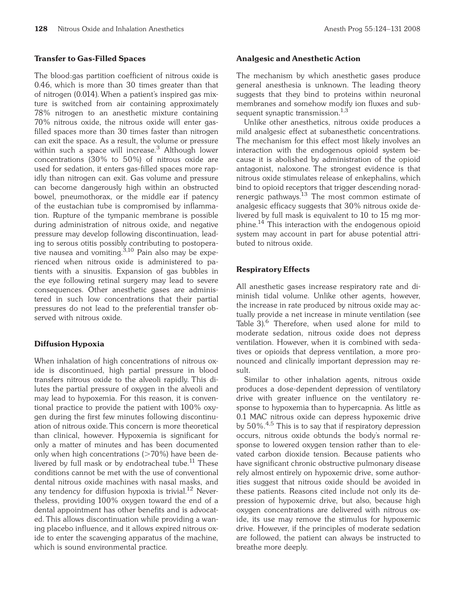## Transfer to Gas-Filled Spaces

The blood:gas partition coefficient of nitrous oxide is 0.46, which is more than 30 times greater than that of nitrogen (0.014). When a patient's inspired gas mixture is switched from air containing approximately 78% nitrogen to an anesthetic mixture containing 70% nitrous oxide, the nitrous oxide will enter gasfilled spaces more than 30 times faster than nitrogen can exit the space. As a result, the volume or pressure within such a space will increase.<sup>3</sup> Although lower concentrations (30% to 50%) of nitrous oxide are used for sedation, it enters gas-filled spaces more rapidly than nitrogen can exit. Gas volume and pressure can become dangerously high within an obstructed bowel, pneumothorax, or the middle ear if patency of the eustachian tube is compromised by inflammation. Rupture of the tympanic membrane is possible during administration of nitrous oxide, and negative pressure may develop following discontinuation, leading to serous otitis possibly contributing to postoperative nausea and vomiting.<sup>3,10</sup> Pain also may be experienced when nitrous oxide is administered to patients with a sinusitis. Expansion of gas bubbles in the eye following retinal surgery may lead to severe consequences. Other anesthetic gases are administered in such low concentrations that their partial pressures do not lead to the preferential transfer observed with nitrous oxide.

#### Diffusion Hypoxia

When inhalation of high concentrations of nitrous oxide is discontinued, high partial pressure in blood transfers nitrous oxide to the alveoli rapidly. This dilutes the partial pressure of oxygen in the alveoli and may lead to hypoxemia. For this reason, it is conventional practice to provide the patient with 100% oxygen during the first few minutes following discontinuation of nitrous oxide. This concern is more theoretical than clinical, however. Hypoxemia is significant for only a matter of minutes and has been documented only when high concentrations ( $>70\%$ ) have been delivered by full mask or by endotracheal tube.<sup>11</sup> These conditions cannot be met with the use of conventional dental nitrous oxide machines with nasal masks, and any tendency for diffusion hypoxia is trivial.<sup>12</sup> Nevertheless, providing 100% oxygen toward the end of a dental appointment has other benefits and is advocated. This allows discontinuation while providing a waning placebo influence, and it allows expired nitrous oxide to enter the scavenging apparatus of the machine, which is sound environmental practice.

#### Analgesic and Anesthetic Action

The mechanism by which anesthetic gases produce general anesthesia is unknown. The leading theory suggests that they bind to proteins within neuronal membranes and somehow modify ion fluxes and subsequent synaptic transmission. $^{1,3}$ 

Unlike other anesthetics, nitrous oxide produces a mild analgesic effect at subanesthetic concentrations. The mechanism for this effect most likely involves an interaction with the endogenous opioid system because it is abolished by administration of the opioid antagonist, naloxone. The strongest evidence is that nitrous oxide stimulates release of enkephalins, which bind to opioid receptors that trigger descending noradrenergic pathways.13 The most common estimate of analgesic efficacy suggests that 30% nitrous oxide delivered by full mask is equivalent to 10 to 15 mg morphine.14 This interaction with the endogenous opioid system may account in part for abuse potential attributed to nitrous oxide.

## Respiratory Effects

All anesthetic gases increase respiratory rate and diminish tidal volume. Unlike other agents, however, the increase in rate produced by nitrous oxide may actually provide a net increase in minute ventilation (see Table 3). $6$  Therefore, when used alone for mild to moderate sedation, nitrous oxide does not depress ventilation. However, when it is combined with sedatives or opioids that depress ventilation, a more pronounced and clinically important depression may result.

Similar to other inhalation agents, nitrous oxide produces a dose- dependent depression of ventilatory drive with greater influence on the ventilatory response to hypoxemia than to hypercapnia. As little as 0.1 MAC nitrous oxide can depress hypoxemic drive by 50%.<sup>4,5</sup> This is to say that if respiratory depression occurs, nitrous oxide obtunds the body's normal response to lowered oxygen tension rather than to elevated carbon dioxide tension. Because patients who have significant chronic obstructive pulmonary disease rely almost entirely on hypoxemic drive, some authorities suggest that nitrous oxide should be avoided in these patients. Reasons cited include not only its depression of hypoxemic drive, but also, because high oxygen concentrations are delivered with nitrous oxide, its use may remove the stimulus for hypoxemic drive. However, if the principles of moderate sedation are followed, the patient can always be instructed to breathe more deeply.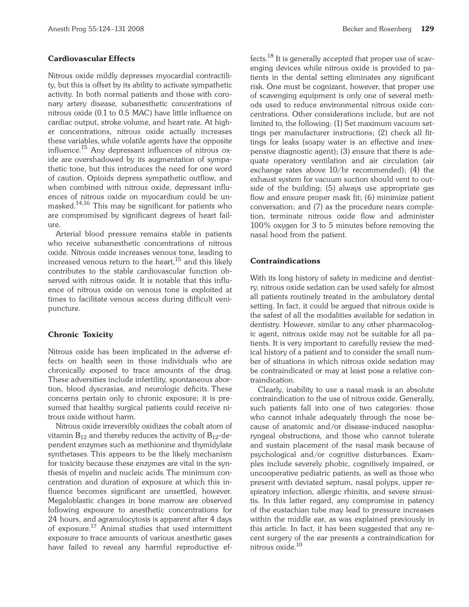## Cardiovascular Effects

Nitrous oxide mildly depresses myocardial contractility, but this is offset by its ability to activate sympathetic activity. In both normal patients and those with coronary artery disease, subanesthetic concentrations of nitrous oxide (0.1 to 0.5 MAC) have little influence on cardiac output, stroke volume, and heart rate. At higher concentrations, nitrous oxide actually increases these variables, while volatile agents have the opposite influence.15 Any depressant influences of nitrous oxide are overshadowed by its augmentation of sympathetic tone, but this introduces the need for one word of caution. Opioids depress sympathetic outflow, and when combined with nitrous oxide, depressant influences of nitrous oxide on myocardium could be unmasked.14,16 This may be significant for patients who are compromised by significant degrees of heart failure.

Arterial blood pressure remains stable in patients who receive subanesthetic concentrations of nitrous oxide. Nitrous oxide increases venous tone, leading to increased venous return to the heart, $15$  and this likely contributes to the stable cardiovascular function observed with nitrous oxide. It is notable that this influence of nitrous oxide on venous tone is exploited at times to facilitate venous access during difficult venipuncture.

## Chronic Toxicity

Nitrous oxide has been implicated in the adverse effects on health seen in those individuals who are chronically exposed to trace amounts of the drug. These adversities include infertility, spontaneous abortion, blood dyscrasias, and neurologic deficits. These concerns pertain only to chronic exposure; it is presumed that healthy surgical patients could receive nitrous oxide without harm.

Nitrous oxide irreversibly oxidizes the cobalt atom of vitamin  $B_{12}$  and thereby reduces the activity of  $B_{12}$ -dependent enzymes such as methionine and thymidylate synthetases. This appears to be the likely mechanism for toxicity because these enzymes are vital in the synthesis of myelin and nucleic acids. The minimum concentration and duration of exposure at which this influence becomes significant are unsettled, however. Megaloblastic changes in bone marrow are observed following exposure to anesthetic concentrations for 24 hours, and agranulocytosis is apparent after 4 days of exposure.17 Animal studies that used intermittent exposure to trace amounts of various anesthetic gases have failed to reveal any harmful reproductive effects.<sup>18</sup> It is generally accepted that proper use of scavenging devices while nitrous oxide is provided to patients in the dental setting eliminates any significant risk. One must be cognizant, however, that proper use of scavenging equipment is only one of several methods used to reduce environmental nitrous oxide concentrations. Other considerations include, but are not limited to, the following: (1) Set maximum vacuum settings per manufacturer instructions; (2) check all fittings for leaks (soapy water is an effective and inexpensive diagnostic agent); (3) ensure that there is adequate operatory ventilation and air circulation (air exchange rates above 10/hr recommended); (4) the exhaust system for vacuum suction should vent to outside of the building; (5) always use appropriate gas flow and ensure proper mask fit; (6) minimize patient conversation; and (7) as the procedure nears completion, terminate nitrous oxide flow and administer 100% oxygen for 3 to 5 minutes before removing the nasal hood from the patient.

## Contraindications

With its long history of safety in medicine and dentistry, nitrous oxide sedation can be used safely for almost all patients routinely treated in the ambulatory dental setting. In fact, it could be argued that nitrous oxide is the safest of all the modalities available for sedation in dentistry. However, similar to any other pharmacologic agent, nitrous oxide may not be suitable for all patients. It is very important to carefully review the medical history of a patient and to consider the small number of situations in which nitrous oxide sedation may be contraindicated or may at least pose a relative contraindication.

Clearly, inability to use a nasal mask is an absolute contraindication to the use of nitrous oxide. Generally, such patients fall into one of two categories: those who cannot inhale adequately through the nose because of anatomic and/or disease-induced nasopharyngeal obstructions, and those who cannot tolerate and sustain placement of the nasal mask because of psychological and/or cognitive disturbances. Examples include severely phobic, cognitively impaired, or uncooperative pediatric patients, as well as those who present with deviated septum, nasal polyps, upper respiratory infection, allergic rhinitis, and severe sinusitis. In this latter regard, any compromise in patency of the eustachian tube may lead to pressure increases within the middle ear, as was explained previously in this article. In fact, it has been suggested that any recent surgery of the ear presents a contraindication for nitrous oxide.10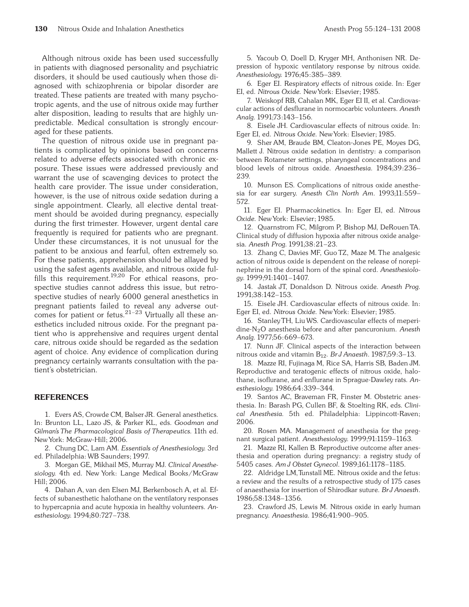Although nitrous oxide has been used successfully in patients with diagnosed personality and psychiatric disorders, it should be used cautiously when those diagnosed with schizophrenia or bipolar disorder are treated. These patients are treated with many psychotropic agents, and the use of nitrous oxide may further alter disposition, leading to results that are highly unpredictable. Medical consultation is strongly encouraged for these patients.

The question of nitrous oxide use in pregnant patients is complicated by opinions based on concerns related to adverse effects associated with chronic exposure. These issues were addressed previously and warrant the use of scavenging devices to protect the health care provider. The issue under consideration, however, is the use of nitrous oxide sedation during a single appointment. Clearly, all elective dental treatment should be avoided during pregnancy, especially during the first trimester. However, urgent dental care frequently is required for patients who are pregnant. Under these circumstances, it is not unusual for the patient to be anxious and fearful, often extremely so. For these patients, apprehension should be allayed by using the safest agents available, and nitrous oxide fulfills this requirement. $19,20$  For ethical reasons, prospective studies cannot address this issue, but retrospective studies of nearly 6000 general anesthetics in pregnant patients failed to reveal any adverse outcomes for patient or fetus. $21-23$  Virtually all these anesthetics included nitrous oxide. For the pregnant patient who is apprehensive and requires urgent dental care, nitrous oxide should be regarded as the sedation agent of choice. Any evidence of complication during pregnancy certainly warrants consultation with the patient's obstetrician.

#### REFERENCES

1. Evers AS, Crowde CM, Balser JR. General anesthetics. In: Brunton LL, Lazo JS, & Parker KL, eds. Goodman and Gilman's The Pharmacological Basis of Therapeutics. 11th ed. New York: McGraw-Hill; 2006.

2. Chung DC, Lam AM. Essentials of Anesthesiology. 3rd ed. Philadelphia: WB Saunders; 1997.

3. Morgan GE, Mikhail MS, Murray MJ. Clinical Anesthesiology. 4th ed. New York: Lange Medical Books/McGraw Hill; 2006.

4. Dahan A, van den Elsen MJ, Berkenbosch A, et al. Effects of subanesthetic halothane on the ventilatory responses to hypercapnia and acute hypoxia in healthy volunteers. Anesthesiology. 1994;80:727^738.

6. Eger EI. Respiratory effects of nitrous oxide. In: Eger EI, ed. Nitrous Oxide. New York: Elsevier; 1985.

7. Weiskopf RB, Cahalan MK, Eger EI II, et al. Cardiovascular actions of desflurane in normocarbic volunteers. Anesth Analg. 1991;73:143-156.

8. Eisele JH. Cardiovascular effects of nitrous oxide. In: Eger EI, ed. Nitrous Oxide. NewYork: Elsevier; 1985.

9. Sher AM, Braude BM, Cleaton-Jones PE, Moyes DG, Mallett J. Nitrous oxide sedation in dentistry: a comparison between Rotameter settings, pharyngeal concentrations and blood levels of nitrous oxide. Anaesthesia. 1984;39:236^ 239.

10. Munson ES. Complications of nitrous oxide anesthesia for ear surgery. Anesth Clin North Am. 1993;11:559^ 572.

11. Eger EI. Pharmacokinetics. In: Eger EI, ed. Nitrous Oxide. New York: Elsevier; 1985.

12. Quarnstrom FC, Milgrom P, Bishop MJ, DeRouen TA. Clinical study of diffusion hypoxia after nitrous oxide analgesia. Anesth Prog. 1991;38:21^23.

13. Zhang C, Davies MF, Guo TZ, Maze M. The analgesic action of nitrous oxide is dependent on the release of norepinephrine in the dorsal horn of the spinal cord. Anesthesiology. 1999;91:1401^1407.

14. Jastak JT, Donaldson D. Nitrous oxide. Anesth Prog. 1991;38:142^153.

15. Eisele JH. Cardiovascular effects of nitrous oxide. In: Eger EI, ed. Nitrous Oxide. NewYork: Elsevier; 1985.

16. Stanley TH, Liu WS. Cardiovascular effects of meperidine- $N_2O$  anesthesia before and after pancuronium. Anesth Analg. 1977;56:669-673.

17. Nunn JF. Clinical aspects of the interaction between nitrous oxide and vitamin  $B_{12}$ . Br J Anaesth. 1987;59:3-13.

18. Mazze RI, Fujinaga M, Rice SA, Harris SB, Baden JM. Reproductive and teratogenic effects of nitrous oxide, halothane, isoflurane, and enflurane in Sprague-Dawley rats. Anesthesiology. 1986;64:339-344.

19. Santos AC, Braveman FR, Finster M. Obstetric anesthesia. In: Barash PG, Cullen BF, & Stoelting RK, eds. Clinical Anesthesia. 5th ed. Philadelphia: Lippincott-Raven; 2006.

20. Rosen MA. Management of anesthesia for the pregnant surgical patient. Anesthesiology. 1999;91:1159-1163.

21. Mazze RI, Kallen B. Reproductive outcome after anesthesia and operation during pregnancy: a registry study of 5405 cases. Am J Obstet Gynecol. 1989;161:1178^1185.

22. Aldridge LM,Tunstall ME. Nitrous oxide and the fetus: a review and the results of a retrospective study of 175 cases of anaesthesia for insertion of Shirodkar suture. BrJ Anaesth. 1986;58:1348^1356.

23. Crawford JS, Lewis M. Nitrous oxide in early human pregnancy. Anaesthesia. 1986;41:900-905.